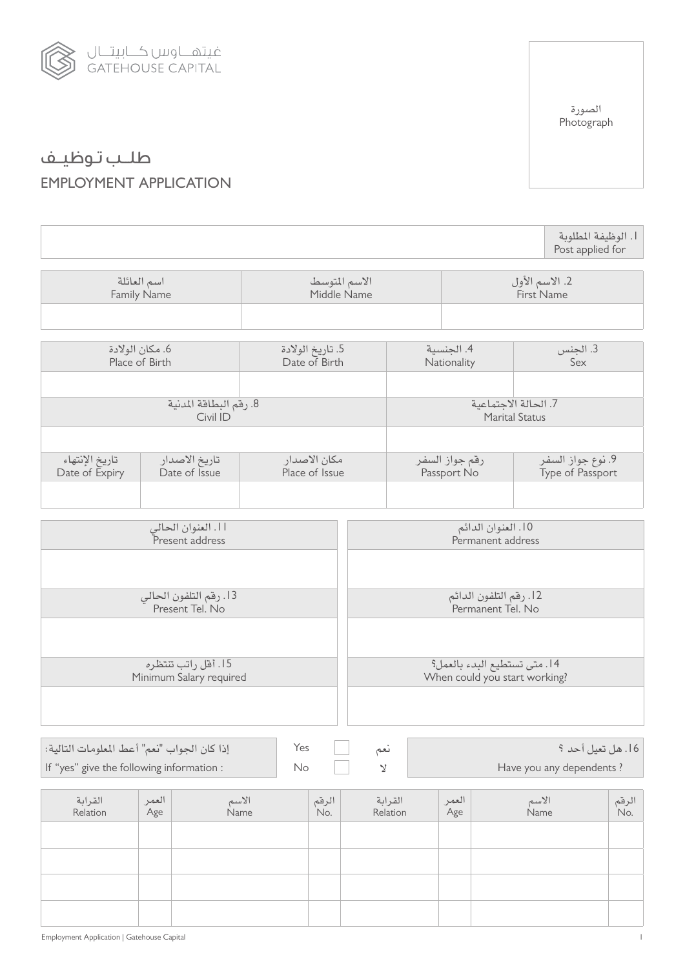

طلــب تـوظيــف EMPLOYMENT APPLICATION

.1 الوظيفة املطلوبة Post applied for اسم العائلة Family Name االسم املتوسط Middle Name 2. الاسم الأول First Name .6 مكان الوالدة Place of Birth .5 تاريخ الوالدة Date of Birth .4 اجلنسية Nationality .3 اجلنس Sex 8. رقم البطاقة المدنية Civil ID 7. الحالة الاجتماعية Marital Status تاريخ الإنتهاء Date of Expiry تاريخ االصدار Date of Issue مكان االصدار Place of Issue رقم جواز السفر Passport No .9 نوع جواز السفر Type of Passport .11 العنوان احلالي E<br>Present address .10 العنوان الدائم Permanent address .13 رقم التلفون احلالي Present Tel. No .12 رقم التلفون الدائم Permanent Tel. No .15 أقل راتب تنتظره Minimum Salary required .14 متى تستطيع البدء بالعمل؟ When could you start working? القرابة Relation العمر Age االسم Name الرقم .No القرابة Relation العمر Age االسم Name الرقم .No .16 هل تعيل أحد ؟ نعم Yes إذا كان اجلواب "نعم" أعط املعلومات التالية: If "yes" give the following information : including  $\mathbb{N}$  included in  $\mathbb{N}$  in  $\mathbb{N}$  in  $\mathbb{N}$  in  $\mathbb{N}$  in  $\mathbb{N}$  in  $\mathbb{N}$  in  $\mathbb{N}$  in  $\mathbb{N}$  in  $\mathbb{N}$  in  $\mathbb{N}$  in  $\mathbb{N}$  in  $\mathbb{N}$  in  $\mathbb$ 

الصورة Photograph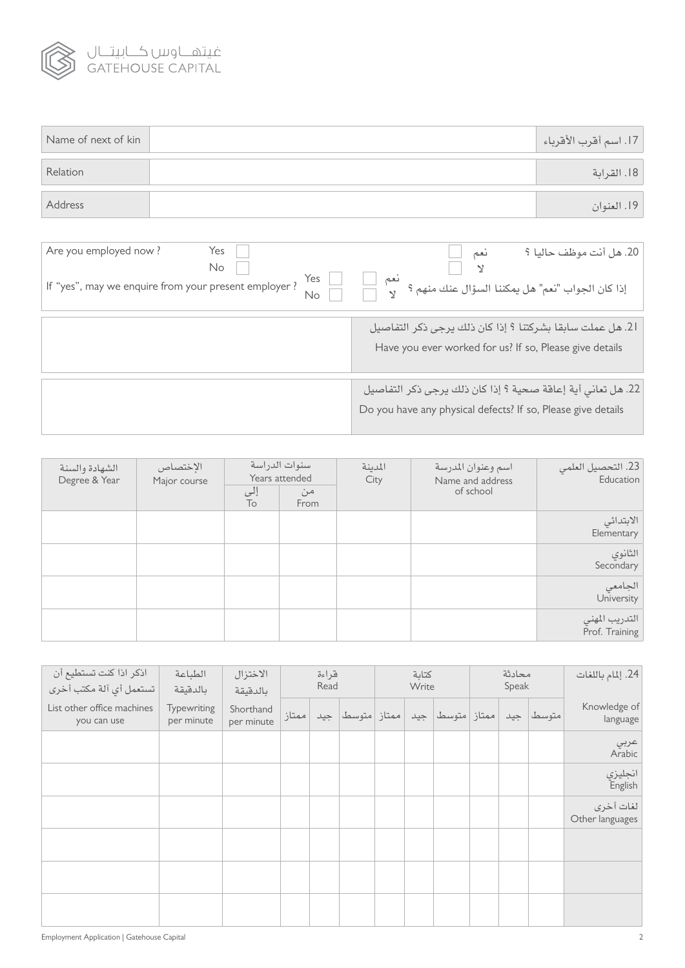

| Name of next of kin | 17. اسم أقرب الأقرباء |
|---------------------|-----------------------|
| Relation            | 18. القرابة           |
| Address             | 19. العنوان           |

| Are you employed now?<br>Yes<br>No<br>Yes<br>If "yes", may we enquire from your present employer ?<br>No | نعم<br>20. هل آنت موظف حاليا ؟<br>λ<br>إذا كان الجواب "نعم" هل يمكننا السؤال عنك منهم ؟                                     |
|----------------------------------------------------------------------------------------------------------|-----------------------------------------------------------------------------------------------------------------------------|
|                                                                                                          | 21. هل عملت سابقا بشركتنا ؟ إذا كان ذلك يرجى ذكر التفاصيل<br>Have you ever worked for us? If so, Please give details        |
|                                                                                                          | 22. هل تعاني أية إعاقة صحية ؟ إذا كان ذلك يرجى ذكر التفاصيل<br>Do you have any physical defects? If so, Please give details |

| الشهادة والسنة<br>Degree & Year | الإختصاص<br>Major course | إلى<br>To | سنوات الدراسة<br>Years attended<br>من<br>From | المدينة<br>City | اسم وعنوان المدرسة<br>Name and address<br>of school | 23. التحصيل العلمي<br>Education  |
|---------------------------------|--------------------------|-----------|-----------------------------------------------|-----------------|-----------------------------------------------------|----------------------------------|
|                                 |                          |           |                                               |                 |                                                     | الابتدائي<br>Elementary          |
|                                 |                          |           |                                               |                 |                                                     | الثانوي<br>Secondary             |
|                                 |                          |           |                                               |                 |                                                     | الجامعي<br>University            |
|                                 |                          |           |                                               |                 |                                                     | التدريب المهني<br>Prof. Training |

| اذكر اذا كنت تستطيع أن<br>تستعمل أي آلة مكتب أخرى | الطباعة<br>بالدقيقة       | الاختزال<br>بالدقيقة    |       | قراءة<br>Read |                     | كتابة<br>Write |                  | محادثة<br>Speak |           | 24. إلمام باللغات            |
|---------------------------------------------------|---------------------------|-------------------------|-------|---------------|---------------------|----------------|------------------|-----------------|-----------|------------------------------|
| List other office machines<br>you can use         | Typewriting<br>per minute | Shorthand<br>per minute | ممتاز |               | ممتاز   متوسط   جید |                | ممتاز متوسط  جيد |                 | متوسط جيد | Knowledge of<br>language     |
|                                                   |                           |                         |       |               |                     |                |                  |                 |           | عرب <i>ي</i><br>Arabic       |
|                                                   |                           |                         |       |               |                     |                |                  |                 |           | انجليزي<br>English           |
|                                                   |                           |                         |       |               |                     |                |                  |                 |           | لغات أخرى<br>Other languages |
|                                                   |                           |                         |       |               |                     |                |                  |                 |           |                              |
|                                                   |                           |                         |       |               |                     |                |                  |                 |           |                              |
|                                                   |                           |                         |       |               |                     |                |                  |                 |           |                              |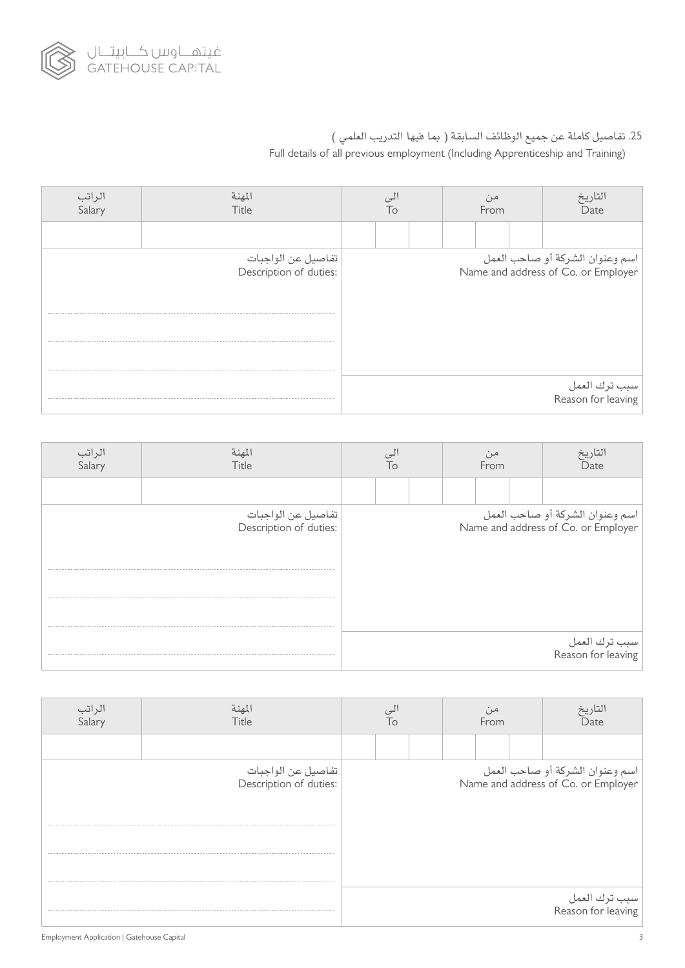

## 25. تفاصيل كاملة عن جميع الوظائف السابقة ( بما فيها التدريب العلمي ) Full details of all previous employment (Including Apprenticeship and Training)

| المهنة<br>Title                              | l٥ |  |  | From |  |  | التاريخ<br>Date                                                        |
|----------------------------------------------|----|--|--|------|--|--|------------------------------------------------------------------------|
|                                              |    |  |  |      |  |  |                                                                        |
| تفاصيل عن الواجبات<br>:Description of duties |    |  |  |      |  |  | اسم وعنوان الشركة أو صاحب العمل<br>Name and address of Co. or Employer |
|                                              |    |  |  |      |  |  | سبب ترك العمل<br>Reason for leaving                                    |

| الراتب<br>Salary | لمهنة<br>Title                               | Тο |  | From | Date |                                                                        |
|------------------|----------------------------------------------|----|--|------|------|------------------------------------------------------------------------|
|                  |                                              |    |  |      |      |                                                                        |
|                  | تفاصيل عن الواجبات<br>:Description of duties |    |  |      |      | اسم وعنوان الشركة أو صاحب العمل<br>Name and address of Co. or Employer |
|                  |                                              |    |  |      |      |                                                                        |
|                  |                                              |    |  |      |      |                                                                        |
|                  |                                              |    |  |      |      |                                                                        |
|                  |                                              |    |  |      |      | سبب ترك العمل<br>Reason for leaving                                    |

| الراتب<br>Salary | لمهنة<br>Title                               | Тο |  | From | Date                                                                   |
|------------------|----------------------------------------------|----|--|------|------------------------------------------------------------------------|
|                  |                                              |    |  |      |                                                                        |
|                  | تفاصيل عن الواجبات<br>:Description of duties |    |  |      | اسم وعنوان الشركة أو صاحب العمل<br>Name and address of Co. or Employer |
|                  |                                              |    |  |      |                                                                        |
|                  |                                              |    |  |      | سبب ترك العمل<br>Reason for leaving                                    |